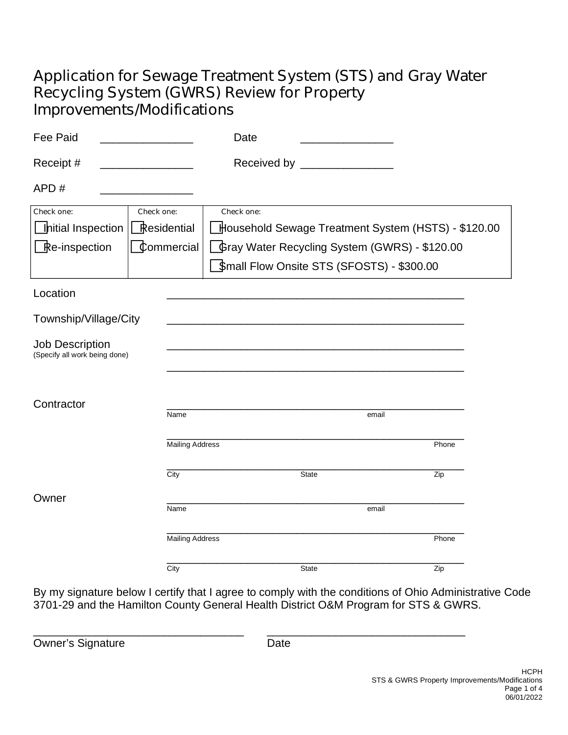# **Application for Sewage Treatment System (STS) and Gray Water Recycling System (GWRS) Review for Property Improvements/Modifications**

| <b>Fee Paid</b>                                         |                        | Date                                                |  |
|---------------------------------------------------------|------------------------|-----------------------------------------------------|--|
| Receipt #                                               |                        | Received by ________________                        |  |
| APD#                                                    |                        |                                                     |  |
| Check one:                                              | Check one:             | Check one:                                          |  |
| Initial Inspection                                      | Residential            | Household Sewage Treatment System (HSTS) - \$120.00 |  |
| Re-inspection                                           | Commercial             | Gray Water Recycling System (GWRS) - \$120.00       |  |
|                                                         |                        | Small Flow Onsite STS (SFOSTS) - \$300.00           |  |
| Location                                                |                        |                                                     |  |
| Township/Village/City                                   |                        |                                                     |  |
| <b>Job Description</b><br>(Specify all work being done) |                        |                                                     |  |
| Contractor                                              |                        |                                                     |  |
|                                                         | Name                   | email                                               |  |
|                                                         | <b>Mailing Address</b> | Phone                                               |  |
|                                                         | City                   | State<br>Zip                                        |  |
| Owner                                                   | Name                   | email                                               |  |
|                                                         | <b>Mailing Address</b> | Phone                                               |  |
|                                                         | City                   | Zip<br>State                                        |  |

By my signature below I certify that I agree to comply with the conditions of Ohio Administrative Code 3701-29 and the Hamilton County General Health District O&M Program for STS & GWRS.

Owner's Signature **Date** 

\_\_\_\_\_\_\_\_\_\_\_\_\_\_\_\_\_\_\_\_\_\_\_\_\_\_\_\_\_\_\_\_\_\_ \_\_\_\_\_\_\_\_\_\_\_\_\_\_\_\_\_\_\_\_\_\_\_\_\_\_\_\_\_\_\_\_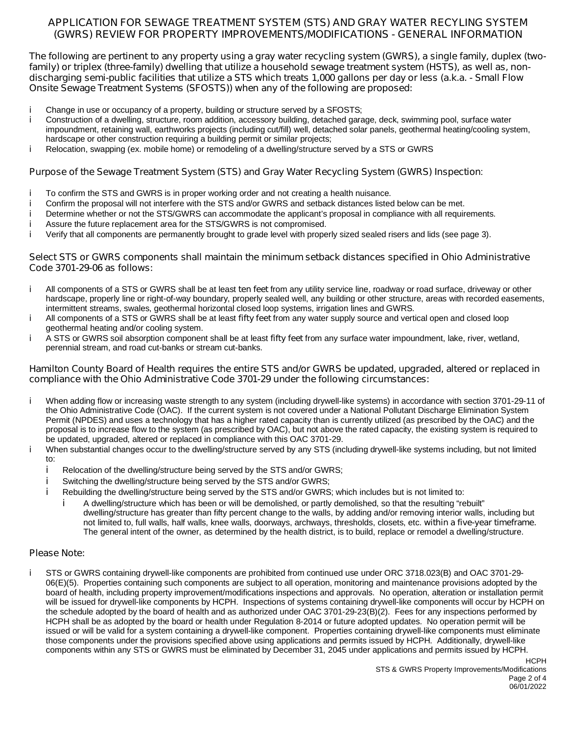### **APPLICATION FOR SEWAGE TREATMENT SYSTEM (STS) AND GRAY WATER RECYLING SYSTEM (GWRS) REVIEW FOR PROPERTY IMPROVEMENTS/MODIFICATIONS - GENERAL INFORMATION**

The following are pertinent to any property using a gray water recycling system (GWRS), a single family, duplex (twofamily) or triplex (three-family) dwelling that utilize a household sewage treatment system (HSTS), as well as, nondischarging semi-public facilities that utilize a STS which treats 1,000 gallons per day or less (a.k.a. - Small Flow **Onsite Sewage Treatment Systems (SFOSTS)) when any of the following are proposed:**

- i Change in use or occupancy of a property, building or structure served by a SFOSTS;
- Construction of a dwelling, structure, room addition, accessory building, detached garage, deck, swimming pool, surface water i. impoundment, retaining wall, earthworks projects (including cut/fill) well, detached solar panels, geothermal heating/cooling system, hardscape or other construction requiring a building permit or similar projects;
- i Relocation, swapping (ex. mobile home) or remodeling of a dwelling/structure served by a STS or GWRS

#### **Purpose of the Sewage Treatment System (STS) and Gray Water Recycling System (GWRS) Inspection**:

- i To confirm the STS and GWRS is in proper working order and not creating a health nuisance.
- Confirm the proposal will not interfere with the STS and/or GWRS and setback distances listed below can be met. i.
- Determine whether or not the STS/GWRS can accommodate the applicant's proposal in compliance with all requirements. i.
- Assure the future replacement area for the STS/GWRS is not compromised. İ.
- Verify that all components are permanently brought to grade level with properly sized sealed risers and lids (see page 3). i.

#### **Select STS or GWRS components shall maintain the minimum setback distances specified in Ohio Administrative Code 3701-29-06 as follows:**

- í. All components of a STS or GWRS shall be at least **ten feet** from any utility service line, roadway or road surface, driveway or other hardscape, properly line or right-of-way boundary, properly sealed well, any building or other structure, areas with recorded easements, intermittent streams, swales, geothermal horizontal closed loop systems, irrigation lines and GWRS.
- i All components of a STS or GWRS shall be at least **fifty feet** from any water supply source and vertical open and closed loop geothermal heating and/or cooling system.
- i. A STS or GWRS soil absorption component shall be at least **fifty feet** from any surface water impoundment, lake, river, wetland, perennial stream, and road cut-banks or stream cut-banks.

#### Hamilton County Board of Health requires the entire STS and/or GWRS be updated, upgraded, altered or replaced in **compliance with the Ohio Administrative Code 3701-29 under the following circumstances:**

- i. When adding flow or increasing waste strength to any system (including drywell-like systems) in accordance with section 3701-29-11 of the Ohio Administrative Code (OAC). If the current system is not covered under a National Pollutant Discharge Elimination System Permit (NPDES) and uses a technology that has a higher rated capacity than is currently utilized (as prescribed by the OAC) and the proposal is to increase flow to the system (as prescribed by OAC), but not above the rated capacity, the existing system is required to be updated, upgraded, altered or replaced in compliance with this OAC 3701-29.
- i. When substantial changes occur to the dwelling/structure served by any STS (including drywell-like systems including, but not limited to:
	- Relocation of the dwelling/structure being served by the STS and/or GWRS;
	- Switching the dwelling/structure being served by the STS and/or GWRS; i
	- Rebuilding the dwelling/structure being served by the STS and/or GWRS; which includes but is not limited to:
		- A dwelling/structure which has been or will be demolished, or partly demolished, so that the resulting "rebuilt" dwelling/structure has greater than fifty percent change to the walls, by adding and/or removing interior walls, including but not limited to, full walls, half walls, knee walls, doorways, archways, thresholds, closets, etc. **within a five-year timeframe.** The general intent of the owner, as determined by the health district, is to build, replace or remodel a dwelling/structure.

#### **Please Note:**

j.

i

i. STS or GWRS containing drywell-like components are prohibited from continued use under ORC 3718.023(B) and OAC 3701-29- 06(E)(5). Properties containing such components are subject to all operation, monitoring and maintenance provisions adopted by the board of health, including property improvement/modifications inspections and approvals. No operation, alteration or installation permit will be issued for drywell-like components by HCPH. Inspections of systems containing drywell-like components will occur by HCPH on the schedule adopted by the board of health and as authorized under OAC 3701-29-23(B)(2). Fees for any inspections performed by HCPH shall be as adopted by the board or health under Regulation 8-2014 or future adopted updates. No operation permit will be issued or will be valid for a system containing a drywell-like component. Properties containing drywell-like components must eliminate those components under the provisions specified above using applications and permits issued by HCPH. Additionally, drywell-like components within any STS or GWRS must be eliminated by December 31, 2045 under applications and permits issued by HCPH.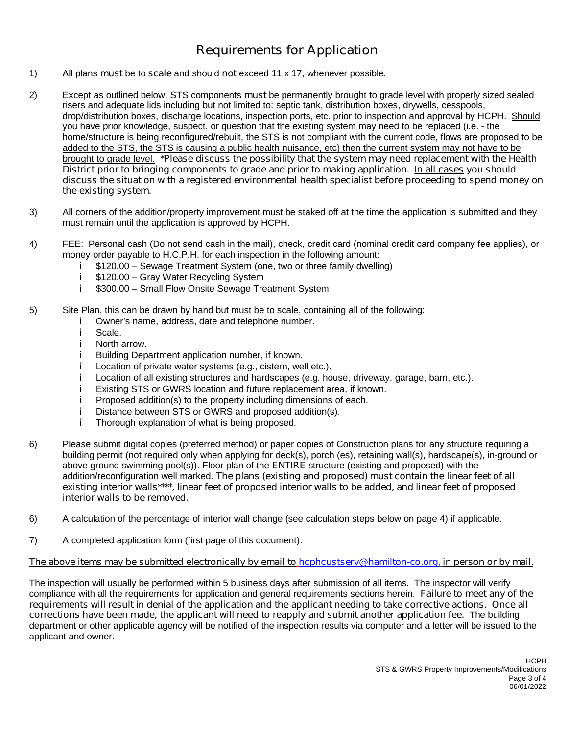## **Requirements for Application**

- 1) All plans **must** be to **scale** and should **not** exceed 11 x 17, whenever possible.
- 2) Except as outlined below, STS components **must** be permanently brought to grade level with properly sized sealed risers and adequate lids including but not limited to: septic tank, distribution boxes, drywells, cesspools, drop/distribution boxes, discharge locations, inspection ports, etc. prior to inspection and approval by HCPH. Should you have prior knowledge, suspect, or question that the existing system may need to be replaced (i.e. - the home/structure is being reconfigured/rebuilt, the STS is not compliant with the current code, flows are proposed to be added to the STS, the STS is causing a public health nuisance, etc) then the current system may not have to be brought to grade level. **\*Please discuss the possibility that the system may need replacement with the Health District prior to bringing components to grade and prior to making application. In all cases you should discuss the situation with a registered environmental health specialist before proceeding to spend money on the existing system.**
- 3) All corners of the addition/property improvement must be staked off at the time the application is submitted and they must remain until the application is approved by HCPH.
- 4) FEE: Personal cash (Do not send cash in the mail), check, credit card (nominal credit card company fee applies), or money order payable to H.C.P.H. for each inspection in the following amount:
	- \$120.00 –Sewage Treatment System (one, two or three family dwelling) Ť
	- Ť \$120.00 –Gray Water Recycling System
	- \$300.00 –Small Flow Onsite Sewage Treatment System j.
- 5) Site Plan, this can be drawn by hand but must be to scale, containing all of the following:
	- Owner's name, address, date and telephone number. j.
	- j. Scale.
	- j. North arrow.
	- i. Building Department application number, if known.
	- i. Location of private water systems (e.g., cistern, well etc.).
	- j. Location of all existing structures and hardscapes (e.g. house, driveway, garage, barn, etc.).
	- Existing STS or GWRS location and future replacement area, if known. j.
	- j. Proposed addition(s) to the property including dimensions of each.
	- Distance between STS or GWRS and proposed addition(s). j.
	- j. Thorough explanation of what is being proposed.
- 6) Please submit digital copies (preferred method) or paper copies of Construction plans for any structure requiring a building permit (not required only when applying for deck(s), porch (es), retaining wall(s), hardscape(s), in-ground or above ground swimming pool(s)). Floor plan of the **ENTIRE** structure (existing and proposed) with the addition/reconfiguration well marked. **The plans (existing and proposed) must contain the linear feet of all** existing interior walls\*\*\*\*, linear feet of proposed interior walls to be added, and linear feet of proposed **interior walls to be removed.**
- 6) A calculation of the percentage of interior wall change (see calculation steps below on page 4) if applicable.
- 7) A completed application form (first page of this document).

#### The above items may be submitted electronically by email to [hcphcustserv@hamilton-co.org](mailto:hcphcustserv@hamilton-co.org), in person or by mail.

The inspection will usually be performed within 5 business days after submission of all items. The inspector will verify compliance with all the requirements for application and general requirements sections herein. **Failure to meet any of the** requirements will result in denial of the application and the applicant needing to take corrective actions. Once all **corrections have been made, the applicant will need to reapply and submit another application fee.** The building department or other applicable agency will be notified of the inspection results via computer and a letter will be issued to the applicant and owner.